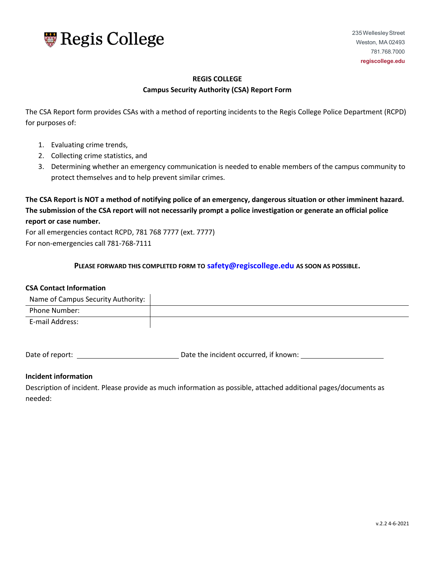

# **REGIS COLLEGE**

#### **Campus Security Authority (CSA) Report Form**

The CSA Report form provides CSAs with a method of reporting incidents to the Regis College Police Department (RCPD) for purposes of:

- 1. Evaluating crime trends,
- 2. Collecting crime statistics, and
- 3. Determining whether an emergency communication is needed to enable members of the campus community to protect themselves and to help prevent similar crimes.

**The CSA Report is NOT a method of notifying police of an emergency, dangerous situation or other imminent hazard. The submission of the CSA report will not necessarily prompt a police investigation or generate an official police report or case number.** 

For all emergencies contact RCPD, 781 768 7777 (ext. 7777) For non-emergencies call 781-768-7111

**PLEASE FORWARD THIS COMPLETED FORM TO [safety@regiscollege.edu](mailto:safety@regiscollege.edu) AS SOON AS POSSIBLE.** 

#### **CSA Contact Information**

| Name of Campus Security Authority: |  |
|------------------------------------|--|
| Phone Number:                      |  |
| E-mail Address:                    |  |

Date of report: Date the incident occurred, if known:

#### **Incident information**

Description of incident. Please provide as much information as possible, attached additional pages/documents as needed: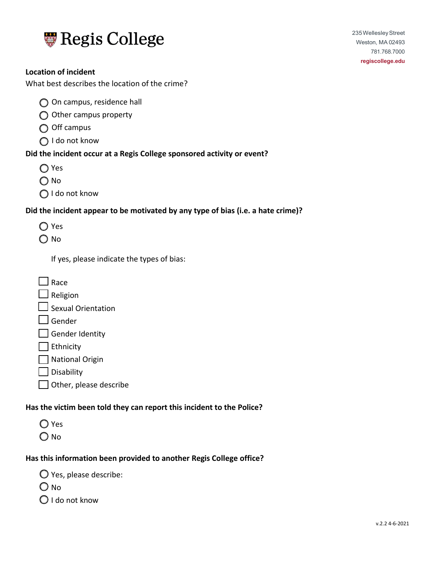

What best describes the location of the crime?

- O On campus, residence hall
- $\bigcirc$  Other campus property
- $\bigcirc$  Off campus
- ◯ I do not know

## **Did the incident occur at a Regis College sponsored activity or event?**

- ◯ Yes
- O No
- ◯ I do not know

# **Did the incident appear to be motivated by any type of bias (i.e. a hate crime)?**

- ◯ Yes
- O No

If yes, please indicate the types of bias:

| l Race                    |  |
|---------------------------|--|
| $\Box$ Religion           |  |
| $\Box$ Sexual Orientation |  |
| $\Box$ Gender             |  |
| $\Box$ Gender Identity    |  |
| $\vert$ Ethnicity         |  |
| □ National Origin         |  |
| $\Box$ Disability         |  |

Other, please describe

## **Has the victim been told they can report this incident to the Police?**

- O Yes
- O No

# **Has this information been provided to another Regis College office?**

Yes, please describe:

- $\bigcirc$  No
- $\bigcirc$  I do not know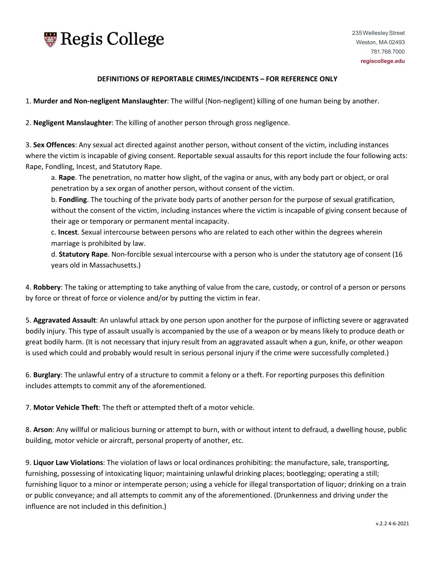

#### **DEFINITIONS OF REPORTABLE CRIMES/INCIDENTS – FOR REFERENCE ONLY**

1. **Murder and Non-negligent Manslaughter**: The willful (Non-negligent) killing of one human being by another.

2. **Negligent Manslaughter**: The killing of another person through gross negligence.

3. **Sex Offences**: Any sexual act directed against another person, without consent of the victim, including instances where the victim is incapable of giving consent. Reportable sexual assaults for this report include the four following acts: Rape, Fondling, Incest, and Statutory Rape.

a. **Rape**. The penetration, no matter how slight, of the vagina or anus, with any body part or object, or oral penetration by a sex organ of another person, without consent of the victim.

b. **Fondling**. The touching of the private body parts of another person for the purpose of sexual gratification, without the consent of the victim, including instances where the victim is incapable of giving consent because of their age or temporary or permanent mental incapacity.

c. **Incest**. Sexual intercourse between persons who are related to each other within the degrees wherein marriage is prohibited by law.

d. **Statutory Rape**. Non-forcible sexual intercourse with a person who is under the statutory age of consent (16 years old in Massachusetts.)

4. **Robbery**: The taking or attempting to take anything of value from the care, custody, or control of a person or persons by force or threat of force or violence and/or by putting the victim in fear.

5. **Aggravated Assault**: An unlawful attack by one person upon another for the purpose of inflicting severe or aggravated bodily injury. This type of assault usually is accompanied by the use of a weapon or by means likely to produce death or great bodily harm. (It is not necessary that injury result from an aggravated assault when a gun, knife, or other weapon is used which could and probably would result in serious personal injury if the crime were successfully completed.)

6. **Burglary**: The unlawful entry of a structure to commit a felony or a theft. For reporting purposes this definition includes attempts to commit any of the aforementioned.

7. **Motor Vehicle Theft**: The theft or attempted theft of a motor vehicle.

8. **Arson**: Any willful or malicious burning or attempt to burn, with or without intent to defraud, a dwelling house, public building, motor vehicle or aircraft, personal property of another, etc.

9. **Liquor Law Violations**: The violation of laws or local ordinances prohibiting: the manufacture, sale, transporting, furnishing, possessing of intoxicating liquor; maintaining unlawful drinking places; bootlegging; operating a still; furnishing liquor to a minor or intemperate person; using a vehicle for illegal transportation of liquor; drinking on a train or public conveyance; and all attempts to commit any of the aforementioned. (Drunkenness and driving under the influence are not included in this definition.)